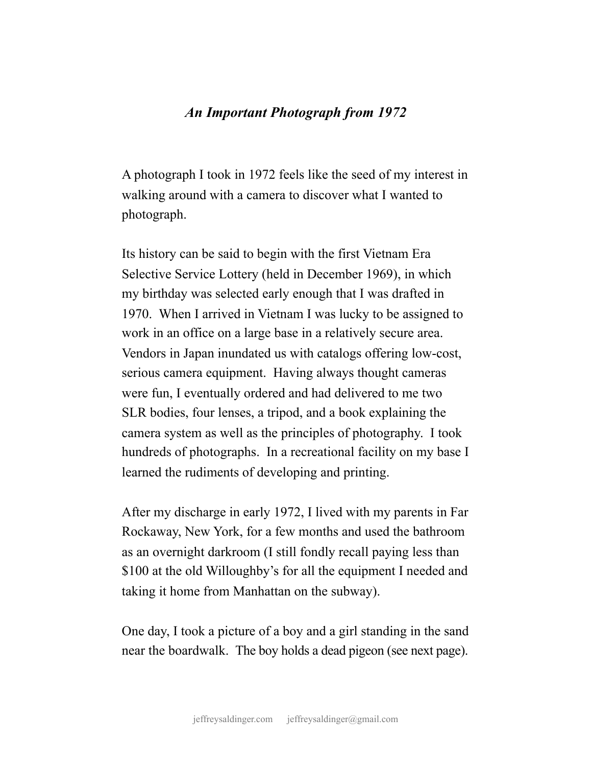## *An Important Photograph from 1972*

A photograph I took in 1972 feels like the seed of my interest in walking around with a camera to discover what I wanted to photograph.

Its history can be said to begin with the first Vietnam Era Selective Service Lottery (held in December 1969), in which my birthday was selected early enough that I was drafted in 1970. When I arrived in Vietnam I was lucky to be assigned to work in an office on a large base in a relatively secure area. Vendors in Japan inundated us with catalogs offering low-cost, serious camera equipment. Having always thought cameras were fun, I eventually ordered and had delivered to me two SLR bodies, four lenses, a tripod, and a book explaining the camera system as well as the principles of photography. I took hundreds of photographs. In a recreational facility on my base I learned the rudiments of developing and printing.

After my discharge in early 1972, I lived with my parents in Far Rockaway, New York, for a few months and used the bathroom as an overnight darkroom (I still fondly recall paying less than \$100 at the old Willoughby's for all the equipment I needed and taking it home from Manhattan on the subway).

One day, I took a picture of a boy and a girl standing in the sand near the boardwalk. The boy holds a dead pigeon (see next page).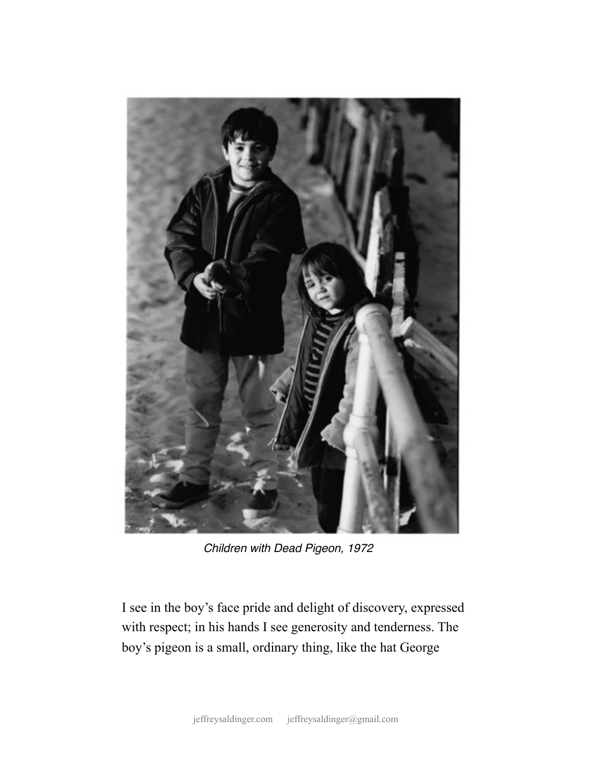

*Children with Dead Pigeon, 1972*

I see in the boy's face pride and delight of discovery, expressed with respect; in his hands I see generosity and tenderness. The boy's pigeon is a small, ordinary thing, like the hat George